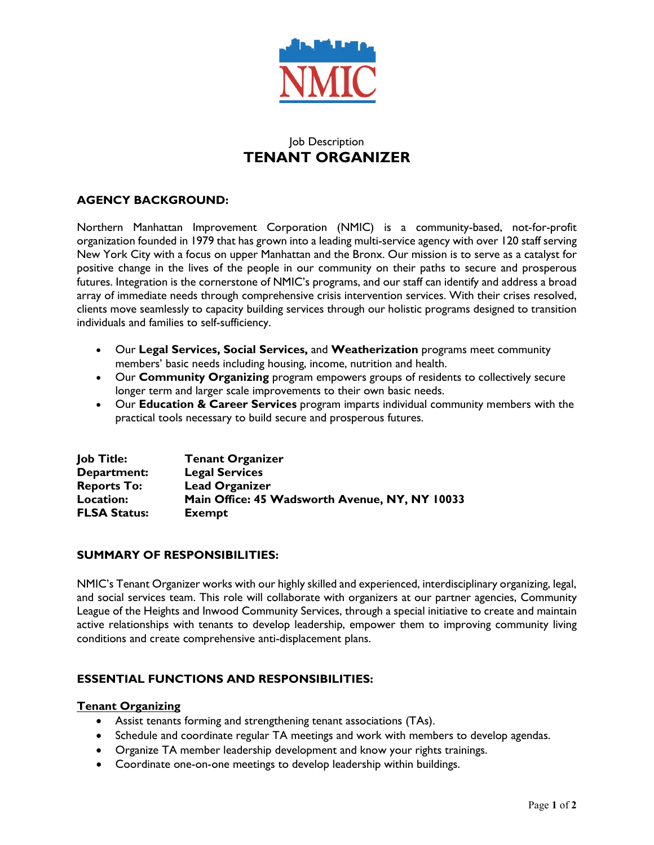

# Job Description **TENANT ORGANIZER**

# **AGENCY BACKGROUND:**

Northern Manhattan Improvement Corporation (NMIC) is a community-based, not-for-profit organization founded in 1979 that has grown into a leading multi-service agency with over 120 staff serving New York City with a focus on upper Manhattan and the Bronx. Our mission is to serve as a catalyst for positive change in the lives of the people in our community on their paths to secure and prosperous futures. Integration is the cornerstone of NMIC's programs, and our staff can identify and address a broad array of immediate needs through comprehensive crisis intervention services. With their crises resolved, clients move seamlessly to capacity building services through our holistic programs designed to transition individuals and families to self-sufficiency.

- Our **Legal Services, Social Services,** and **Weatherization** programs meet community members' basic needs including housing, income, nutrition and health.
- Our **Community Organizing** program empowers groups of residents to collectively secure longer term and larger scale improvements to their own basic needs.
- Our **Education & Career Services** program imparts individual community members with the practical tools necessary to build secure and prosperous futures.

| <b>Job Title:</b>   | <b>Tenant Organizer</b>                        |
|---------------------|------------------------------------------------|
| Department:         | <b>Legal Services</b>                          |
| <b>Reports To:</b>  | <b>Lead Organizer</b>                          |
| Location:           | Main Office: 45 Wadsworth Avenue, NY, NY 10033 |
| <b>FLSA Status:</b> | <b>Exempt</b>                                  |

#### **SUMMARY OF RESPONSIBILITIES:**

NMIC's Tenant Organizer works with our highly skilled and experienced, interdisciplinary organizing, legal, and social services team. This role will collaborate with organizers at our partner agencies, Community League of the Heights and Inwood Community Services, through a special initiative to create and maintain active relationships with tenants to develop leadership, empower them to improving community living conditions and create comprehensive anti-displacement plans.

## **ESSENTIAL FUNCTIONS AND RESPONSIBILITIES:**

#### **Tenant Organizing**

- Assist tenants forming and strengthening tenant associations (TAs).
- Schedule and coordinate regular TA meetings and work with members to develop agendas.
- Organize TA member leadership development and know your rights trainings.
- Coordinate one-on-one meetings to develop leadership within buildings.